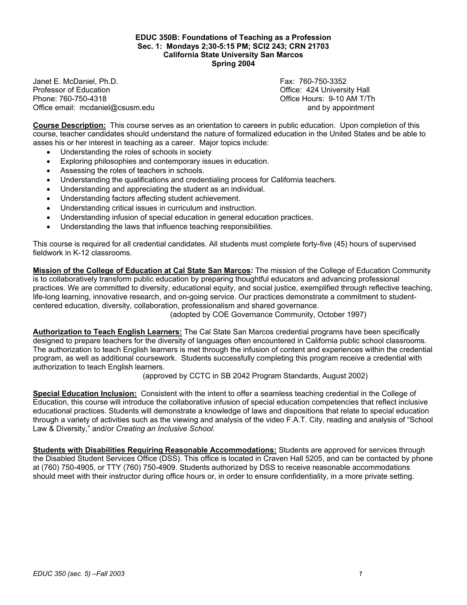#### **EDUC 350B: Foundations of Teaching as a Profession Sec. 1: Mondays 2;30-5:15 PM; SCI2 243; CRN 21703 California State University San Marcos Spring 2004**

Janet E. McDaniel, Ph.D. Fax: 760-750-3352 Phone: 760-750-4318 Office Hours: 9-10 AM T/Th Office email: mcdaniel@csusm.edu and by appointment

Office: 424 University Hall

**Course Description:** This course serves as an orientation to careers in public education. Upon completion of this course, teacher candidates should understand the nature of formalized education in the United States and be able to asses his or her interest in teaching as a career. Major topics include:

- Understanding the roles of schools in society
- Exploring philosophies and contemporary issues in education.
- Assessing the roles of teachers in schools.
- Understanding the qualifications and credentialing process for California teachers.
- Understanding and appreciating the student as an individual.
- Understanding factors affecting student achievement.
- Understanding critical issues in curriculum and instruction.
- Understanding infusion of special education in general education practices.
- Understanding the laws that influence teaching responsibilities.

This course is required for all credential candidates. All students must complete forty-five (45) hours of supervised fieldwork in K-12 classrooms.

**Mission of the College of Education at Cal State San Marcos:** The mission of the College of Education Community is to collaboratively transform public education by preparing thoughtful educators and advancing professional practices. We are committed to diversity, educational equity, and social justice, exemplified through reflective teaching, life-long learning, innovative research, and on-going service. Our practices demonstrate a commitment to studentcentered education, diversity, collaboration, professionalism and shared governance.

(adopted by COE Governance Community, October 1997)

**Authorization to Teach English Learners:** The Cal State San Marcos credential programs have been specifically designed to prepare teachers for the diversity of languages often encountered in California public school classrooms. The authorization to teach English learners is met through the infusion of content and experiences within the credential program, as well as additional coursework. Students successfully completing this program receive a credential with authorization to teach English learners.

(approved by CCTC in SB 2042 Program Standards, August 2002)

**Special Education Inclusion:** Consistent with the intent to offer a seamless teaching credential in the College of Education, this course will introduce the collaborative infusion of special education competencies that reflect inclusive educational practices. Students will demonstrate a knowledge of laws and dispositions that relate to special education through a variety of activities such as the viewing and analysis of the video F.A.T. City, reading and analysis of "School Law & Diversity," and/or *Creating an Inclusive School*.

**Students with Disabilities Requiring Reasonable Accommodations:** Students are approved for services through the Disabled Student Services Office (DSS). This office is located in Craven Hall 5205, and can be contacted by phone at (760) 750-4905, or TTY (760) 750-4909. Students authorized by DSS to receive reasonable accommodations should meet with their instructor during office hours or, in order to ensure confidentiality, in a more private setting.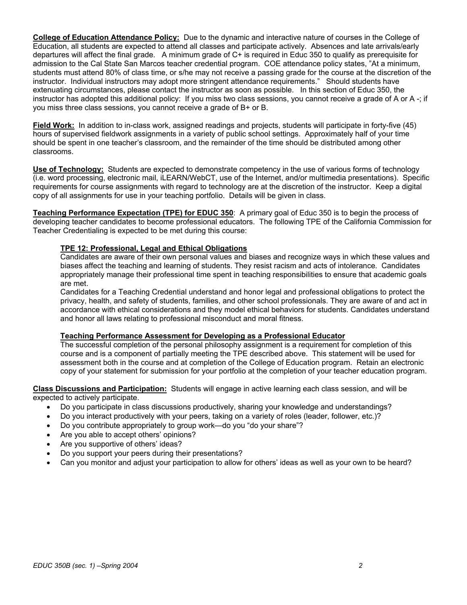**College of Education Attendance Policy:** Due to the dynamic and interactive nature of courses in the College of Education, all students are expected to attend all classes and participate actively. Absences and late arrivals/early departures will affect the final grade. A minimum grade of C+ is required in Educ 350 to qualify as prerequisite for admission to the Cal State San Marcos teacher credential program. COE attendance policy states, "At a minimum, students must attend 80% of class time, or s/he may not receive a passing grade for the course at the discretion of the instructor. Individual instructors may adopt more stringent attendance requirements." Should students have extenuating circumstances, please contact the instructor as soon as possible. In this section of Educ 350, the instructor has adopted this additional policy: If you miss two class sessions, you cannot receive a grade of A or A -; if you miss three class sessions, you cannot receive a grade of B+ or B.

**Field Work:** In addition to in-class work, assigned readings and projects, students will participate in forty-five (45) hours of supervised fieldwork assignments in a variety of public school settings. Approximately half of your time should be spent in one teacher's classroom, and the remainder of the time should be distributed among other classrooms.

**Use of Technology:** Students are expected to demonstrate competency in the use of various forms of technology (i.e. word processing, electronic mail, iLEARN/WebCT, use of the Internet, and/or multimedia presentations). Specific requirements for course assignments with regard to technology are at the discretion of the instructor. Keep a digital copy of all assignments for use in your teaching portfolio. Details will be given in class.

**Teaching Performance Expectation (TPE) for EDUC 350**: A primary goal of Educ 350 is to begin the process of developing teacher candidates to become professional educators. The following TPE of the California Commission for Teacher Credentialing is expected to be met during this course:

## **TPE 12: Professional, Legal and Ethical Obligations**

Candidates are aware of their own personal values and biases and recognize ways in which these values and biases affect the teaching and learning of students. They resist racism and acts of intolerance. Candidates appropriately manage their professional time spent in teaching responsibilities to ensure that academic goals are met.

Candidates for a Teaching Credential understand and honor legal and professional obligations to protect the privacy, health, and safety of students, families, and other school professionals. They are aware of and act in accordance with ethical considerations and they model ethical behaviors for students. Candidates understand and honor all laws relating to professional misconduct and moral fitness.

### **Teaching Performance Assessment for Developing as a Professional Educator**

The successful completion of the personal philosophy assignment is a requirement for completion of this course and is a component of partially meeting the TPE described above. This statement will be used for assessment both in the course and at completion of the College of Education program. Retain an electronic copy of your statement for submission for your portfolio at the completion of your teacher education program.

**Class Discussions and Participation:** Students will engage in active learning each class session, and will be expected to actively participate.

- Do you participate in class discussions productively, sharing your knowledge and understandings?
- Do you interact productively with your peers, taking on a variety of roles (leader, follower, etc.)?
- Do you contribute appropriately to group work—do you "do your share"?
- Are you able to accept others' opinions?
- Are you supportive of others' ideas?
- Do you support your peers during their presentations?
- Can you monitor and adjust your participation to allow for others' ideas as well as your own to be heard?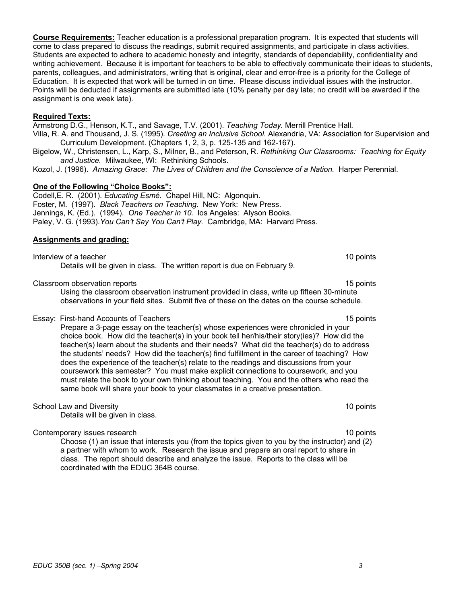**Course Requirements:** Teacher education is a professional preparation program. It is expected that students will come to class prepared to discuss the readings, submit required assignments, and participate in class activities. Students are expected to adhere to academic honesty and integrity, standards of dependability, confidentiality and writing achievement. Because it is important for teachers to be able to effectively communicate their ideas to students, parents, colleagues, and administrators, writing that is original, clear and error-free is a priority for the College of Education. It is expected that work will be turned in on time. Please discuss individual issues with the instructor. Points will be deducted if assignments are submitted late (10% penalty per day late; no credit will be awarded if the assignment is one week late).

#### **Required Texts:**

Armstrong D.G., Henson, K.T., and Savage, T.V. (2001). *Teaching Today.* Merrill Prentice Hall. Villa, R. A. and Thousand, J. S. (1995). *Creating an Inclusive School.* Alexandria, VA: Association for Supervision and Curriculum Development. (Chapters 1, 2, 3, p. 125-135 and 162-167).

Bigelow, W., Christensen, L., Karp, S., Milner, B., and Peterson, R. *Rethinking Our Classrooms: Teaching for Equity and Justice.* Milwaukee, WI: Rethinking Schools.

Kozol, J. (1996). *Amazing Grace: The Lives of Children and the Conscience of a Nation.* Harper Perennial.

### **One of the Following "Choice Books":**

Codell,E. R. (2001). *Educating Esmé.* Chapel Hill, NC: Algonquin. Foster, M. (1997). *Black Teachers on Teaching*. New York: New Press. Jennings, K. (Ed.). (1994). *One Teacher in 10.* los Angeles: Alyson Books. Paley, V. G. (1993).*You Can't Say You Can't Play.* Cambridge, MA: Harvard Press.

#### **Assignments and grading:**

Interview of a teacher 10 points and the set of the set of the set of the set of the set of the set of the set of the set of the set of the set of the set of the set of the set of the set of the set of the set of the set o Details will be given in class. The written report is due on February 9.

#### Classroom observation reports 15 points 15 points 15 points 15 points 15 points 15 points 15 points 15 points 15 points 15 points 15 points 15 points 15 points 15 points 15 points 15 points 15 points 15 points 15 points 15

Using the classroom observation instrument provided in class, write up fifteen 30-minute observations in your field sites. Submit five of these on the dates on the course schedule.

Essay: First-hand Accounts of Teachers 15 points 15 points 15 points

Prepare a 3-page essay on the teacher(s) whose experiences were chronicled in your choice book. How did the teacher(s) in your book tell her/his/their story(ies)? How did the teacher(s) learn about the students and their needs? What did the teacher(s) do to address the students' needs? How did the teacher(s) find fulfillment in the career of teaching? How does the experience of the teacher(s) relate to the readings and discussions from your coursework this semester? You must make explicit connections to coursework, and you must relate the book to your own thinking about teaching. You and the others who read the same book will share your book to your classmates in a creative presentation.

School Law and Diversity 10 points 10 points 10 points 10 points 10 points 10 points 10 points 10 points 10 points 10 points 10 points 10 points 10 points 10 points 10 points 10 points 10 points 10 points 10 points 10 poin

Details will be given in class.

Contemporary issues research 10 points and the contemporary issues research 10 points and the contemporary issues research 10 points and the contemporary issues research 10 points and the contemporary issues research 10 po

Choose (1) an issue that interests you (from the topics given to you by the instructor) and (2) a partner with whom to work. Research the issue and prepare an oral report to share in class. The report should describe and analyze the issue. Reports to the class will be coordinated with the EDUC 364B course.